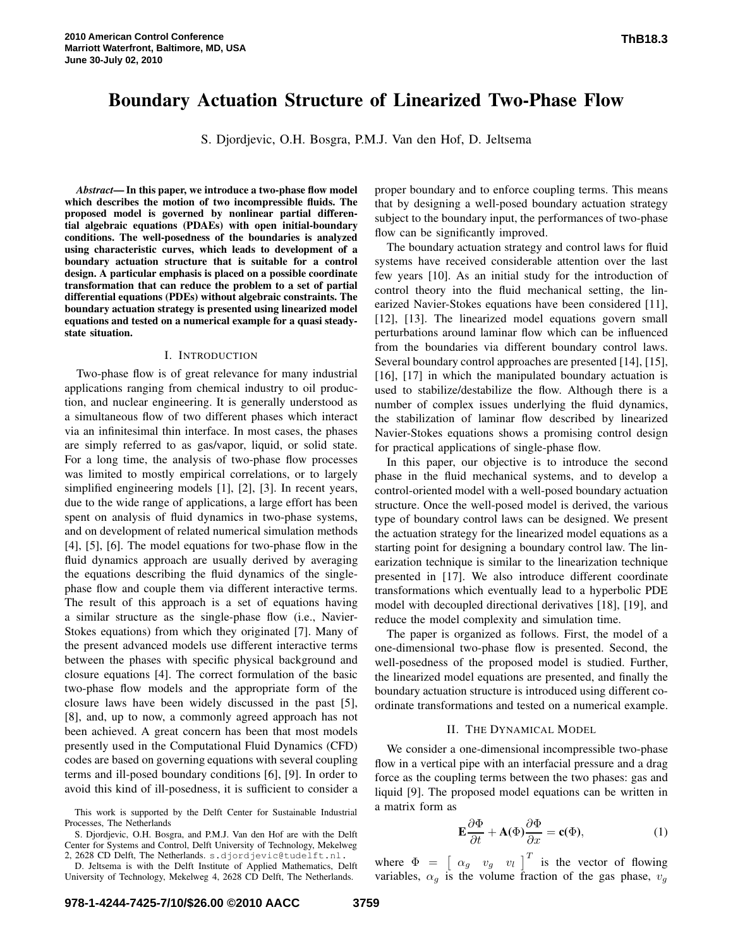# **Boundary Actuation Structure of Linearized Two-Phase Flow**

S. Djordjevic, O.H. Bosgra, P.M.J. Van den Hof, D. Jeltsema

*Abstract***— In this paper, we introduce a two-phase flow model which describes the motion of two incompressible fluids. The proposed model is governed by nonlinear partial differential algebraic equations (PDAEs) with open initial-boundary conditions. The well-posedness of the boundaries is analyzed using characteristic curves, which leads to development of a boundary actuation structure that is suitable for a control design. A particular emphasis is placed on a possible coordinate transformation that can reduce the problem to a set of partial differential equations (PDEs) without algebraic constraints. The boundary actuation strategy is presented using linearized model equations and tested on a numerical example for a quasi steadystate situation.**

#### I. INTRODUCTION

Two-phase flow is of great relevance for many industrial applications ranging from chemical industry to oil production, and nuclear engineering. It is generally understood as a simultaneous flow of two different phases which interact via an infinitesimal thin interface. In most cases, the phases are simply referred to as gas/vapor, liquid, or solid state. For a long time, the analysis of two-phase flow processes was limited to mostly empirical correlations, or to largely simplified engineering models [1], [2], [3]. In recent years, due to the wide range of applications, a large effort has been spent on analysis of fluid dynamics in two-phase systems, and on development of related numerical simulation methods [4], [5], [6]. The model equations for two-phase flow in the fluid dynamics approach are usually derived by averaging the equations describing the fluid dynamics of the singlephase flow and couple them via different interactive terms. The result of this approach is a set of equations having a similar structure as the single-phase flow (i.e., Navier-Stokes equations) from which they originated [7]. Many of the present advanced models use different interactive terms between the phases with specific physical background and closure equations [4]. The correct formulation of the basic two-phase flow models and the appropriate form of the closure laws have been widely discussed in the past [5], [8], and, up to now, a commonly agreed approach has not been achieved. A great concern has been that most models presently used in the Computational Fluid Dynamics (CFD) codes are based on governing equations with several coupling terms and ill-posed boundary conditions [6], [9]. In order to avoid this kind of ill-posedness, it is sufficient to consider a

S. Djordjevic, O.H. Bosgra, and P.M.J. Van den Hof are with the Delft Center for Systems and Control, Delft University of Technology, Mekelweg 2, 2628 CD Delft, The Netherlands. s.djordjevic@tudelft.nl.

D. Jeltsema is with the Delft Institute of Applied Mathematics, Delft University of Technology, Mekelweg 4, 2628 CD Delft, The Netherlands.

proper boundary and to enforce coupling terms. This means that by designing a well-posed boundary actuation strategy subject to the boundary input, the performances of two-phase flow can be significantly improved.

The boundary actuation strategy and control laws for fluid systems have received considerable attention over the last few years [10]. As an initial study for the introduction of control theory into the fluid mechanical setting, the linearized Navier-Stokes equations have been considered [11], [12], [13]. The linearized model equations govern small perturbations around laminar flow which can be influenced from the boundaries via different boundary control laws. Several boundary control approaches are presented [14], [15], [16], [17] in which the manipulated boundary actuation is used to stabilize/destabilize the flow. Although there is a number of complex issues underlying the fluid dynamics, the stabilization of laminar flow described by linearized Navier-Stokes equations shows a promising control design for practical applications of single-phase flow.

In this paper, our objective is to introduce the second phase in the fluid mechanical systems, and to develop a control-oriented model with a well-posed boundary actuation structure. Once the well-posed model is derived, the various type of boundary control laws can be designed. We present the actuation strategy for the linearized model equations as a starting point for designing a boundary control law. The linearization technique is similar to the linearization technique presented in [17]. We also introduce different coordinate transformations which eventually lead to a hyperbolic PDE model with decoupled directional derivatives [18], [19], and reduce the model complexity and simulation time.

The paper is organized as follows. First, the model of a one-dimensional two-phase flow is presented. Second, the well-posedness of the proposed model is studied. Further, the linearized model equations are presented, and finally the boundary actuation structure is introduced using different coordinate transformations and tested on a numerical example.

# II. THE DYNAMICAL MODEL

We consider a one-dimensional incompressible two-phase flow in a vertical pipe with an interfacial pressure and a drag force as the coupling terms between the two phases: gas and liquid [9]. The proposed model equations can be written in a matrix form as

$$
\mathbf{E}\frac{\partial\Phi}{\partial t} + \mathbf{A}(\Phi)\frac{\partial\Phi}{\partial x} = \mathbf{c}(\Phi),\tag{1}
$$

where  $\Phi = \begin{bmatrix} \alpha_g & v_g & v_l \end{bmatrix}^T$  is the vector of flowing variables,  $\alpha_q$  is the volume fraction of the gas phase,  $v_q$ 

This work is supported by the Delft Center for Sustainable Industrial Processes, The Netherlands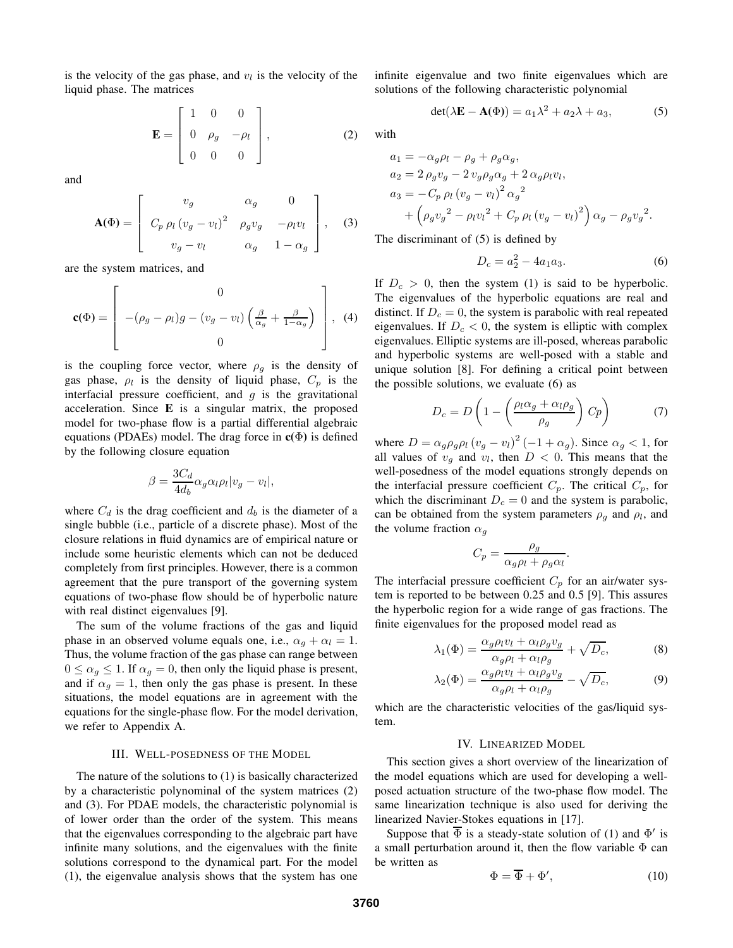is the velocity of the gas phase, and  $v_l$  is the velocity of the liquid phase. The matrices

$$
\mathbf{E} = \begin{bmatrix} 1 & 0 & 0 \\ 0 & \rho_g & -\rho_l \\ 0 & 0 & 0 \end{bmatrix},
$$
 (2)

and

$$
\mathbf{A}(\Phi) = \begin{bmatrix} v_g & \alpha_g & 0 \\ C_p \rho_l (v_g - v_l)^2 & \rho_g v_g & -\rho_l v_l \\ v_g - v_l & \alpha_g & 1 - \alpha_g \end{bmatrix}, \quad (3)
$$

are the system matrices, and

$$
\mathbf{c}(\Phi) = \begin{bmatrix} 0 \\ -(\rho_g - \rho_l)g - (v_g - v_l) \left(\frac{\beta}{\alpha_g} + \frac{\beta}{1 - \alpha_g}\right) \\ 0 \end{bmatrix}, \tag{4}
$$

is the coupling force vector, where  $\rho_g$  is the density of gas phase,  $\rho_l$  is the density of liquid phase,  $C_p$  is the interfacial pressure coefficient, and  $g$  is the gravitational acceleration. Since **E** is a singular matrix, the proposed model for two-phase flow is a partial differential algebraic equations (PDAEs) model. The drag force in **c(**Φ**)** is defined by the following closure equation

$$
\beta = \frac{3C_d}{4d_b}\alpha_g \alpha_l \rho_l |v_g - v_l|,
$$

where  $C_d$  is the drag coefficient and  $d_b$  is the diameter of a single bubble (i.e., particle of a discrete phase). Most of the closure relations in fluid dynamics are of empirical nature or include some heuristic elements which can not be deduced completely from first principles. However, there is a common agreement that the pure transport of the governing system equations of two-phase flow should be of hyperbolic nature with real distinct eigenvalues [9].

The sum of the volume fractions of the gas and liquid phase in an observed volume equals one, i.e.,  $\alpha_q + \alpha_l = 1$ . Thus, the volume fraction of the gas phase can range between  $0 \le \alpha_g \le 1$ . If  $\alpha_g = 0$ , then only the liquid phase is present, and if  $\alpha_g = 1$ , then only the gas phase is present. In these situations, the model equations are in agreement with the equations for the single-phase flow. For the model derivation, we refer to Appendix A.

#### III. WELL-POSEDNESS OF THE MODEL

The nature of the solutions to (1) is basically characterized by a characteristic polynominal of the system matrices (2) and (3). For PDAE models, the characteristic polynomial is of lower order than the order of the system. This means that the eigenvalues corresponding to the algebraic part have infinite many solutions, and the eigenvalues with the finite solutions correspond to the dynamical part. For the model (1), the eigenvalue analysis shows that the system has one infinite eigenvalue and two finite eigenvalues which are solutions of the following characteristic polynomial

$$
det(\lambda \mathbf{E} - \mathbf{A}(\Phi)) = a_1 \lambda^2 + a_2 \lambda + a_3,\tag{5}
$$

with

$$
a_1 = -\alpha_g \rho_l - \rho_g + \rho_g \alpha_g,
$$
  
\n
$$
a_2 = 2 \rho_g v_g - 2 v_g \rho_g \alpha_g + 2 \alpha_g \rho_l v_l,
$$
  
\n
$$
a_3 = -C_p \rho_l (v_g - v_l)^2 \alpha_g^2
$$
  
\n
$$
+ (\rho_g v_g^2 - \rho_l v_l^2 + C_p \rho_l (v_g - v_l)^2) \alpha_g - \rho_g v_g^2.
$$

The discriminant of (5) is defined by

$$
D_c = a_2^2 - 4a_1a_3. \tag{6}
$$

If  $D_c > 0$ , then the system (1) is said to be hyperbolic. The eigenvalues of the hyperbolic equations are real and distinct. If  $D_c = 0$ , the system is parabolic with real repeated eigenvalues. If  $D_c < 0$ , the system is elliptic with complex eigenvalues. Elliptic systems are ill-posed, whereas parabolic and hyperbolic systems are well-posed with a stable and unique solution [8]. For defining a critical point between the possible solutions, we evaluate (6) as

$$
D_c = D \left( 1 - \left( \frac{\rho_l \alpha_g + \alpha_l \rho_g}{\rho_g} \right) C p \right) \tag{7}
$$

where  $D = \alpha_g \rho_g \rho_l (v_g - v_l)^2 (-1 + \alpha_g)$ . Since  $\alpha_g < 1$ , for all values of  $v_g$  and  $v_l$ , then  $D < 0$ . This means that the well-posedness of the model equations strongly depends on the interfacial pressure coefficient  $C_p$ . The critical  $C_p$ , for which the discriminant  $D_c = 0$  and the system is parabolic, can be obtained from the system parameters  $\rho_g$  and  $\rho_l$ , and the volume fraction  $\alpha_q$ 

$$
C_p = \frac{\rho_g}{\alpha_g \rho_l + \rho_g \alpha_l}.
$$

The interfacial pressure coefficient  $C_p$  for an air/water system is reported to be between 0.25 and 0.5 [9]. This assures the hyperbolic region for a wide range of gas fractions. The finite eigenvalues for the proposed model read as

$$
\lambda_1(\Phi) = \frac{\alpha_g \rho_l v_l + \alpha_l \rho_g v_g}{\alpha_g \rho_l + \alpha_l \rho_g} + \sqrt{D_c},\tag{8}
$$

$$
\lambda_2(\Phi) = \frac{\alpha_g \rho_l v_l + \alpha_l \rho_g v_g}{\alpha_g \rho_l + \alpha_l \rho_g} - \sqrt{D_c},\tag{9}
$$

which are the characteristic velocities of the gas/liquid system.

# IV. LINEARIZED MODEL

This section gives a short overview of the linearization of the model equations which are used for developing a wellposed actuation structure of the two-phase flow model. The same linearization technique is also used for deriving the linearized Navier-Stokes equations in [17].

Suppose that  $\overline{\Phi}$  is a steady-state solution of (1) and  $\Phi'$  is a small perturbation around it, then the flow variable  $\Phi$  can be written as

$$
\Phi = \overline{\Phi} + \Phi',\tag{10}
$$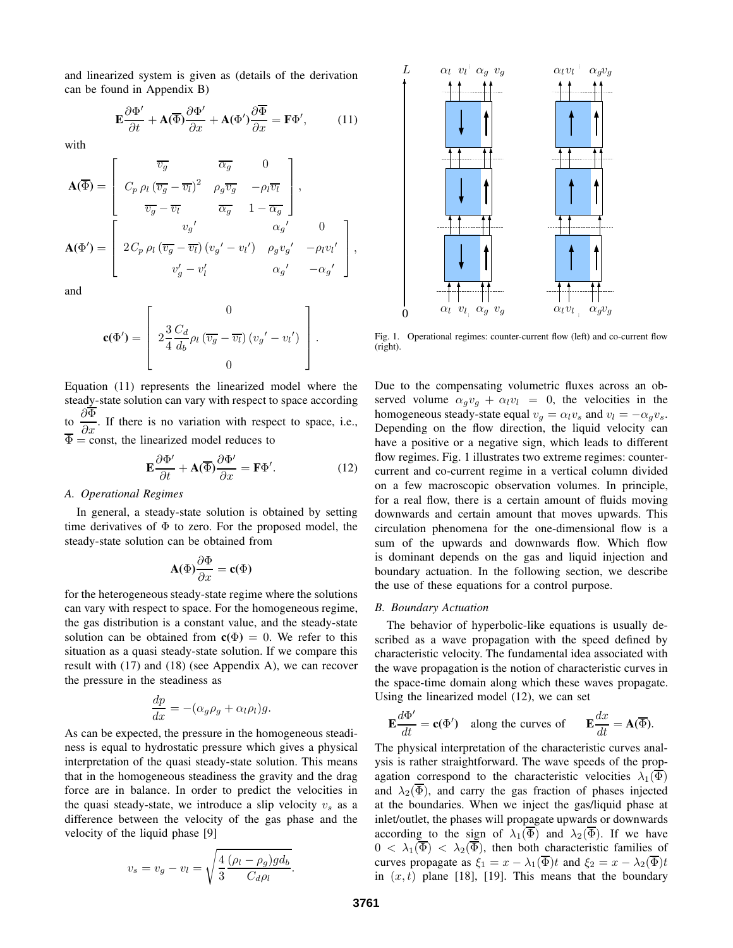and linearized system is given as (details of the derivation can be found in Appendix B)

$$
\mathbf{E}\frac{\partial\Phi'}{\partial t} + \mathbf{A}(\overline{\Phi})\frac{\partial\Phi'}{\partial x} + \mathbf{A}(\Phi')\frac{\partial\overline{\Phi}}{\partial x} = \mathbf{F}\Phi',\tag{11}
$$

with

$$
\mathbf{A}(\overline{\Phi}) = \begin{bmatrix} \overline{v_g} & \overline{\alpha_g} & 0 \\ C_p \rho_l (\overline{v_g} - \overline{v_l})^2 & \rho_g \overline{v_g} & -\rho_l \overline{v_l} \\ \overline{v_g} - \overline{v_l} & \overline{\alpha_g} & 1 - \overline{\alpha_g} \end{bmatrix},
$$

$$
\mathbf{A}(\Phi') = \begin{bmatrix} v_g' & \alpha_g' & 0 \\ 2C_p \rho_l (\overline{v_g} - \overline{v_l}) (v_g' - v_l') & \rho_g v_g' & -\rho_l v_l' \\ v_g' - v_l' & \alpha_g' & -\alpha_g' \end{bmatrix}
$$

and

$$
\mathbf{c}(\Phi') = \left[ 2\frac{3}{4} \frac{C_d}{d_b} \rho_l \left( \overline{v_g} - \overline{v_l} \right) \left( v_g' - v_l' \right) \right].
$$

Equation (11) represents the linearized model where the steady-state solution can vary with respect to space according to  $\frac{\partial \Phi}{\partial x}$  $\frac{\partial \mathbf{r}}{\partial x}$ . If there is no variation with respect to space, i.e.,  $\Phi$  = const, the linearized model reduces to

$$
\mathbf{E}\frac{\partial\Phi'}{\partial t} + \mathbf{A}(\overline{\Phi})\frac{\partial\Phi'}{\partial x} = \mathbf{F}\Phi'.
$$
 (12)

# *A. Operational Regimes*

In general, a steady-state solution is obtained by setting time derivatives of  $\Phi$  to zero. For the proposed model, the steady-state solution can be obtained from

$$
\mathbf{A}(\Phi)\frac{\partial\Phi}{\partial x} = \mathbf{c}(\Phi)
$$

for the heterogeneous steady-state regime where the solutions can vary with respect to space. For the homogeneous regime, the gas distribution is a constant value, and the steady-state solution can be obtained from  $\mathbf{c}(\Phi) = 0$ . We refer to this situation as a quasi steady-state solution. If we compare this result with (17) and (18) (see Appendix A), we can recover the pressure in the steadiness as

$$
\frac{dp}{dx} = -(\alpha_g \rho_g + \alpha_l \rho_l)g.
$$

As can be expected, the pressure in the homogeneous steadiness is equal to hydrostatic pressure which gives a physical interpretation of the quasi steady-state solution. This means that in the homogeneous steadiness the gravity and the drag force are in balance. In order to predict the velocities in the quasi steady-state, we introduce a slip velocity  $v<sub>s</sub>$  as a difference between the velocity of the gas phase and the velocity of the liquid phase [9]

$$
v_s = v_g - v_l = \sqrt{\frac{4}{3} \frac{(\rho_l - \rho_g) g d_b}{C_d \rho_l}}
$$



Fig. 1. Operational regimes: counter-current flow (left) and co-current flow (right).

Due to the compensating volumetric fluxes across an observed volume  $\alpha_g v_g + \alpha_l v_l = 0$ , the velocities in the homogeneous steady-state equal  $v_g = \alpha_l v_s$  and  $v_l = -\alpha_g v_s$ . Depending on the flow direction, the liquid velocity can have a positive or a negative sign, which leads to different flow regimes. Fig. 1 illustrates two extreme regimes: countercurrent and co-current regime in a vertical column divided on a few macroscopic observation volumes. In principle, for a real flow, there is a certain amount of fluids moving downwards and certain amount that moves upwards. This circulation phenomena for the one-dimensional flow is a sum of the upwards and downwards flow. Which flow is dominant depends on the gas and liquid injection and boundary actuation. In the following section, we describe the use of these equations for a control purpose.

#### *B. Boundary Actuation*

The behavior of hyperbolic-like equations is usually described as a wave propagation with the speed defined by characteristic velocity. The fundamental idea associated with the wave propagation is the notion of characteristic curves in the space-time domain along which these waves propagate. Using the linearized model (12), we can set

$$
\mathbf{E}\frac{d\Phi'}{dt} = \mathbf{c}(\Phi') \quad \text{along the curves of} \qquad \mathbf{E}\frac{dx}{dt} = \mathbf{A}(\overline{\Phi}).
$$

The physical interpretation of the characteristic curves analysis is rather straightforward. The wave speeds of the propagation correspond to the characteristic velocities  $\lambda_1(\overline{\Phi})$ and  $\lambda_2(\overline{\Phi})$ , and carry the gas fraction of phases injected at the boundaries. When we inject the gas/liquid phase at inlet/outlet, the phases will propagate upwards or downwards according to the sign of  $\lambda_1(\overline{\Phi})$  and  $\lambda_2(\overline{\Phi})$ . If we have  $0 < \lambda_1(\overline{\Phi}) < \lambda_2(\overline{\Phi})$ , then both characteristic families of curves propagate as  $\xi_1 = x - \lambda_1(\overline{\Phi})t$  and  $\xi_2 = x - \lambda_2(\overline{\Phi})t$ in  $(x, t)$  plane [18], [19]. This means that the boundary

.

,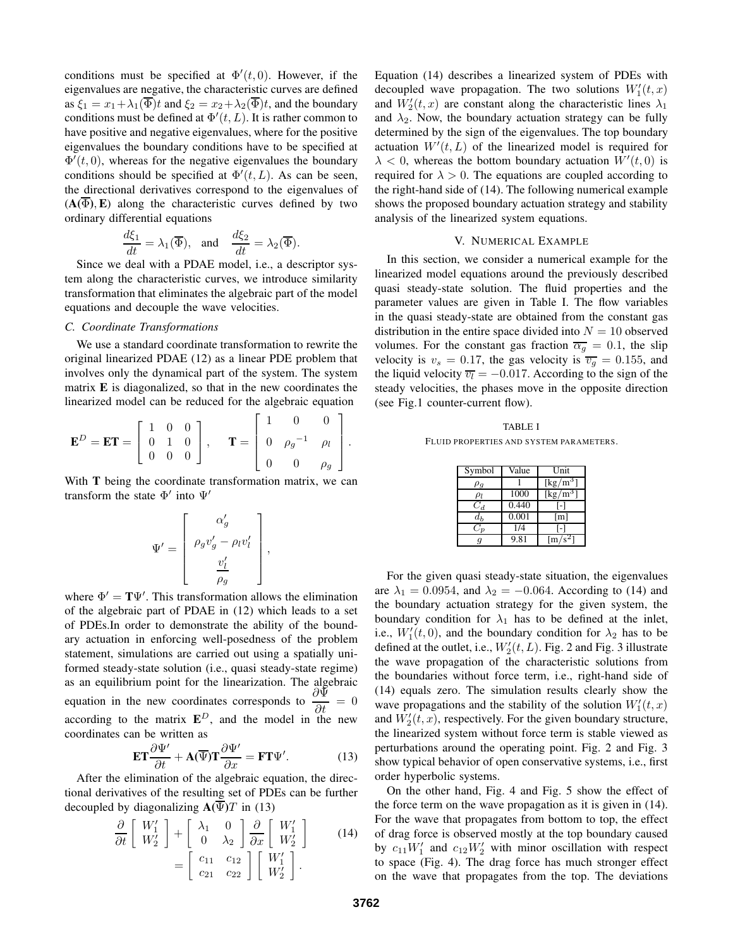conditions must be specified at  $\Phi'(t, 0)$ . However, if the eigenvalues are negative, the characteristic curves are defined as  $\xi_1 = x_1 + \lambda_1(\overline{\Phi})t$  and  $\xi_2 = x_2 + \lambda_2(\overline{\Phi})t$ , and the boundary conditions must be defined at  $\Phi'(t,L)$ . It is rather common to have positive and negative eigenvalues, where for the positive eigenvalues the boundary conditions have to be specified at  $\Phi'(t,0)$ , whereas for the negative eigenvalues the boundary conditions should be specified at  $\Phi'(t,L)$ . As can be seen, the directional derivatives correspond to the eigenvalues of  $(A(\overline{\Phi}), E)$  along the characteristic curves defined by two ordinary differential equations

$$
\frac{d\xi_1}{dt} = \lambda_1(\overline{\Phi}), \text{ and } \frac{d\xi_2}{dt} = \lambda_2(\overline{\Phi}).
$$

Since we deal with a PDAE model, i.e., a descriptor system along the characteristic curves, we introduce similarity transformation that eliminates the algebraic part of the model equations and decouple the wave velocities.

# *C. Coordinate Transformations*

We use a standard coordinate transformation to rewrite the original linearized PDAE (12) as a linear PDE problem that involves only the dynamical part of the system. The system matrix **E** is diagonalized, so that in the new coordinates the linearized model can be reduced for the algebraic equation

$$
\mathbf{E}^D = \mathbf{E} \mathbf{T} = \begin{bmatrix} 1 & 0 & 0 \\ 0 & 1 & 0 \\ 0 & 0 & 0 \end{bmatrix}, \quad \mathbf{T} = \begin{bmatrix} 1 & 0 & 0 \\ 0 & \rho_g^{-1} & \rho_l \\ 0 & 0 & \rho_g \end{bmatrix}.
$$

With **T** being the coordinate transformation matrix, we can transform the state  $\Phi'$  into  $\Psi'$ 

$$
\Psi' = \left[ \begin{array}{c} \alpha'_g \\ \rho_g v'_g - \rho_l v'_l \\ \frac{v'_l}{\rho_g} \end{array} \right],
$$

where  $\Phi' = T\Psi'$ . This transformation allows the elimination of the algebraic part of PDAE in (12) which leads to a set of PDEs.In order to demonstrate the ability of the boundary actuation in enforcing well-posedness of the problem statement, simulations are carried out using a spatially uniformed steady-state solution (i.e., quasi steady-state regime) as an equilibrium point for the linearization. The algebraic equation in the new coordinates corresponds to  $\frac{\partial \Psi}{\partial \nu}$  $\frac{\partial \mathbf{f}}{\partial t} = 0$ according to the matrix  $E^D$ , and the model in the new coordinates can be written as

$$
\mathbf{ET}\frac{\partial\Psi'}{\partial t} + \mathbf{A}(\overline{\Psi})\mathbf{T}\frac{\partial\Psi'}{\partial x} = \mathbf{FT}\Psi'.\tag{13}
$$

After the elimination of the algebraic equation, the directional derivatives of the resulting set of PDEs can be further decoupled by diagonalizing  $\mathbf{A}(\Psi)T$  in (13)

$$
\frac{\partial}{\partial t} \begin{bmatrix} W_1' \\ W_2' \end{bmatrix} + \begin{bmatrix} \lambda_1 & 0 \\ 0 & \lambda_2 \end{bmatrix} \frac{\partial}{\partial x} \begin{bmatrix} W_1' \\ W_2' \end{bmatrix}
$$
\n
$$
= \begin{bmatrix} c_{11} & c_{12} \\ c_{21} & c_{22} \end{bmatrix} \begin{bmatrix} W_1' \\ W_2' \end{bmatrix}.
$$
\n(14)

Equation (14) describes a linearized system of PDEs with decoupled wave propagation. The two solutions  $W_1'(t, x)$ and  $W'_2(t, x)$  are constant along the characteristic lines  $\lambda_1$ and  $\lambda_2$ . Now, the boundary actuation strategy can be fully determined by the sign of the eigenvalues. The top boundary actuation  $W'(t,L)$  of the linearized model is required for  $\lambda$  < 0, whereas the bottom boundary actuation  $\dot{W}'(t,0)$  is required for  $\lambda > 0$ . The equations are coupled according to the right-hand side of (14). The following numerical example shows the proposed boundary actuation strategy and stability analysis of the linearized system equations.

#### V. NUMERICAL EXAMPLE

In this section, we consider a numerical example for the linearized model equations around the previously described quasi steady-state solution. The fluid properties and the parameter values are given in Table I. The flow variables in the quasi steady-state are obtained from the constant gas distribution in the entire space divided into  $N = 10$  observed volumes. For the constant gas fraction  $\overline{\alpha_g} = 0.1$ , the slip velocity is  $v_s = 0.17$ , the gas velocity is  $\overline{v_g} = 0.155$ , and the liquid velocity  $\overline{v_l} = -0.017$ . According to the sign of the steady velocities, the phases move in the opposite direction (see Fig.1 counter-current flow).

TABLE I FLUID PROPERTIES AND SYSTEM PARAMETERS.

| Symbol   | Value | Unit                                    |
|----------|-------|-----------------------------------------|
| $\rho_g$ |       | $\left[\mathrm{kg}/\mathrm{m}^3\right]$ |
| $\rho_l$ | 1000  | [ $\text{kg/m}^3$                       |
|          | 0.440 |                                         |
| $d_h$    | 0.001 | [m]                                     |
|          | 1/4   |                                         |
|          | 9.81  | ſm.                                     |

For the given quasi steady-state situation, the eigenvalues are  $\lambda_1 = 0.0954$ , and  $\lambda_2 = -0.064$ . According to (14) and the boundary actuation strategy for the given system, the boundary condition for  $\lambda_1$  has to be defined at the inlet, i.e.,  $W'_1(t,0)$ , and the boundary condition for  $\lambda_2$  has to be defined at the outlet, i.e.,  $W_2'(t,L)$ . Fig. 2 and Fig. 3 illustrate the wave propagation of the characteristic solutions from the boundaries without force term, i.e., right-hand side of (14) equals zero. The simulation results clearly show the wave propagations and the stability of the solution  $W_1'(t, x)$ and  $W'_2(t, x)$ , respectively. For the given boundary structure, the linearized system without force term is stable viewed as perturbations around the operating point. Fig. 2 and Fig. 3 show typical behavior of open conservative systems, i.e., first order hyperbolic systems.

On the other hand, Fig. 4 and Fig. 5 show the effect of the force term on the wave propagation as it is given in (14). For the wave that propagates from bottom to top, the effect of drag force is observed mostly at the top boundary caused by  $c_{11}W'_1$  and  $c_{12}W'_2$  with minor oscillation with respect to space (Fig. 4). The drag force has much stronger effect on the wave that propagates from the top. The deviations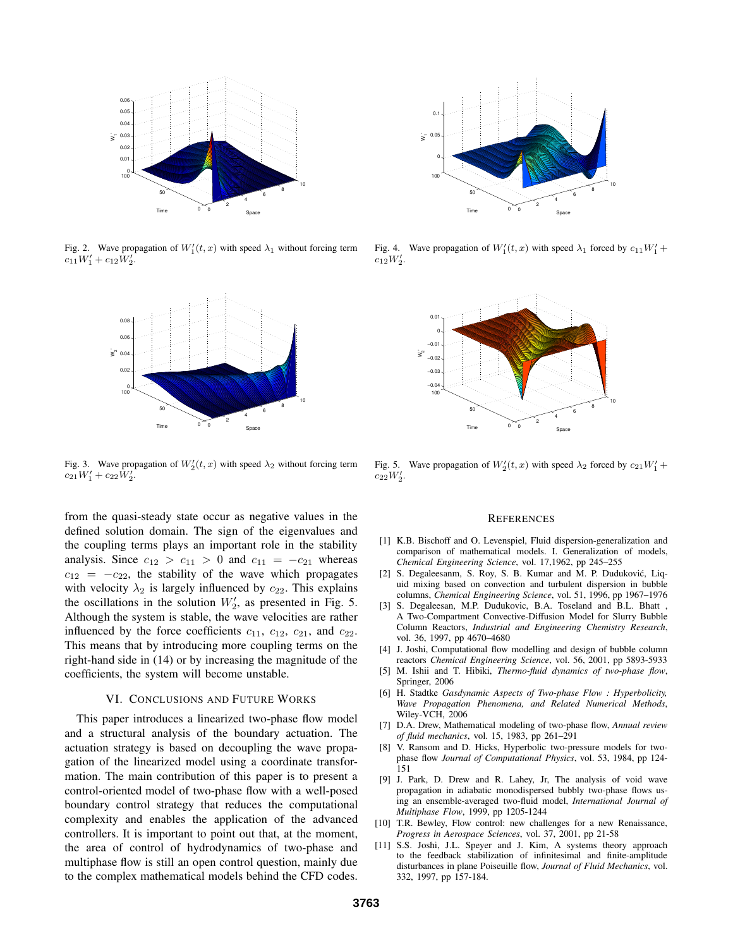

Fig. 2. Wave propagation of  $W_1'(t, x)$  with speed  $\lambda_1$  without forcing term  $c_{11}W'_1 + c_{12}W'_2$ .



Fig. 3. Wave propagation of  $W_2'(t, x)$  with speed  $\lambda_2$  without forcing term  $c_{21}W'_1+c_{22}W'_2$ .

from the quasi-steady state occur as negative values in the defined solution domain. The sign of the eigenvalues and the coupling terms plays an important role in the stability analysis. Since  $c_{12} > c_{11} > 0$  and  $c_{11} = -c_{21}$  whereas  $c_{12} = -c_{22}$ , the stability of the wave which propagates with velocity  $\lambda_2$  is largely influenced by  $c_{22}$ . This explains the oscillations in the solution  $W'_2$ , as presented in Fig. 5. Although the system is stable, the wave velocities are rather influenced by the force coefficients  $c_{11}$ ,  $c_{12}$ ,  $c_{21}$ , and  $c_{22}$ . This means that by introducing more coupling terms on the right-hand side in (14) or by increasing the magnitude of the coefficients, the system will become unstable.

# VI. CONCLUSIONS AND FUTURE WORKS

This paper introduces a linearized two-phase flow model and a structural analysis of the boundary actuation. The actuation strategy is based on decoupling the wave propagation of the linearized model using a coordinate transformation. The main contribution of this paper is to present a control-oriented model of two-phase flow with a well-posed boundary control strategy that reduces the computational complexity and enables the application of the advanced controllers. It is important to point out that, at the moment, the area of control of hydrodynamics of two-phase and multiphase flow is still an open control question, mainly due to the complex mathematical models behind the CFD codes.



Fig. 4. Wave propagation of  $W_1'(t, x)$  with speed  $\lambda_1$  forced by  $c_{11}W_1' + c_2W_2'$  $c_{12}W_{2}'$ .



Fig. 5. Wave propagation of  $W_2'(t, x)$  with speed  $\lambda_2$  forced by  $c_{21}W_1' + c_2W_2'$  $c_{22}W_2'$ .

# **REFERENCES**

- [1] K.B. Bischoff and O. Levenspiel, Fluid dispersion-generalization and comparison of mathematical models. I. Generalization of models, *Chemical Engineering Science*, vol. 17,1962, pp 245–255
- [2] S. Degaleesanm, S. Roy, S. B. Kumar and M. P. Duduković, Liquid mixing based on convection and turbulent dispersion in bubble columns, *Chemical Engineering Science*, vol. 51, 1996, pp 1967–1976
- [3] S. Degaleesan, M.P. Dudukovic, B.A. Toseland and B.L. Bhatt , A Two-Compartment Convective-Diffusion Model for Slurry Bubble Column Reactors, *Industrial and Engineering Chemistry Research*, vol. 36, 1997, pp 4670–4680
- [4] J. Joshi, Computational flow modelling and design of bubble column reactors *Chemical Engineering Science*, vol. 56, 2001, pp 5893-5933
- [5] M. Ishii and T. Hibiki, *Thermo-fluid dynamics of two-phase flow*, Springer, 2006
- [6] H. Stadtke *Gasdynamic Aspects of Two-phase Flow : Hyperbolicity, Wave Propagation Phenomena, and Related Numerical Methods*, Wiley-VCH, 2006
- [7] D.A. Drew, Mathematical modeling of two-phase flow, *Annual review of fluid mechanics*, vol. 15, 1983, pp 261–291
- [8] V. Ransom and D. Hicks, Hyperbolic two-pressure models for twophase flow *Journal of Computational Physics*, vol. 53, 1984, pp 124- 151
- [9] J. Park, D. Drew and R. Lahey, Jr, The analysis of void wave propagation in adiabatic monodispersed bubbly two-phase flows using an ensemble-averaged two-fluid model, *International Journal of Multiphase Flow*, 1999, pp 1205-1244
- [10] T.R. Bewley, Flow control: new challenges for a new Renaissance, *Progress in Aerospace Sciences*, vol. 37, 2001, pp 21-58
- [11] S.S. Joshi, J.L. Speyer and J. Kim, A systems theory approach to the feedback stabilization of infinitesimal and finite-amplitude disturbances in plane Poiseuille flow, *Journal of Fluid Mechanics*, vol. 332, 1997, pp 157-184.